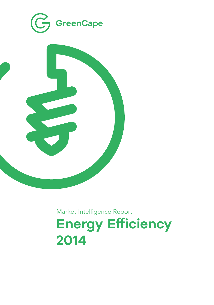

Market Intelligence Report **Energy Efficiency 2014**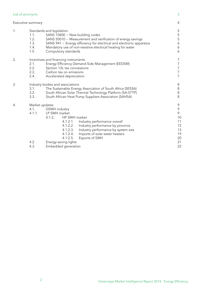## List of acronyms 3

## Executive summary 4

| 1. | Standards and legislation<br>1.1.<br>SANS 10400 - New building codes |                                                                      | 5<br>5   |  |
|----|----------------------------------------------------------------------|----------------------------------------------------------------------|----------|--|
|    | 1.2.                                                                 | SANS 50010 - Measurement and verification of energy savings          |          |  |
|    | 1.3.                                                                 | SANS 941 - Energy efficiency for electrical and electronic apparatus |          |  |
|    | 1.4.                                                                 | Mandatory use of non-resistive electrical heating for water          |          |  |
|    | 1.5.                                                                 | Compulsory standards                                                 |          |  |
| 2. | Incentives and financing instruments                                 |                                                                      |          |  |
|    | 2.1.                                                                 | Energy Efficiency Demand-Side Management (EEDSM)                     |          |  |
|    | 2.2.                                                                 | Section 12L tax concessions                                          |          |  |
|    | 2.3.                                                                 | Carbon tax on emissions                                              |          |  |
|    | 2.4.                                                                 | Accelerated depreciation                                             |          |  |
| 3. | Industry bodies and associations                                     |                                                                      | 8        |  |
|    | 3.1.                                                                 | The Sustainable Energy Association of South Africa (SESSA)           |          |  |
|    | 3.2.                                                                 | South African Solar Thermal Technology Platform (SA-STTP)            |          |  |
|    | 3.3.                                                                 | South African Heat Pump Suppliers Association (SAHSA)                |          |  |
| 4. | Market updates                                                       |                                                                      |          |  |
|    | 4.1.                                                                 | DSWH industry                                                        |          |  |
|    | 4.1.1.                                                               | LP SWH market                                                        |          |  |
|    |                                                                      | HP SWH market<br>4.1.2.                                              | 10       |  |
|    |                                                                      | 4.1.2.1.<br>Industry performance overall                             | 11       |  |
|    |                                                                      | 4.1.2.2. Industry performance by province                            | 12       |  |
|    |                                                                      | 4.1.2.3.<br>Industry performance by system size                      | 13       |  |
|    |                                                                      | 4.1.2.4.<br>Imports of solar water heaters                           | 19       |  |
|    |                                                                      | 4.1.2.5.<br>Exports of SWH                                           | 20<br>21 |  |
|    | 4.2.                                                                 | Energy-saving lights                                                 |          |  |
|    | 4.3.                                                                 | Embedded generation                                                  |          |  |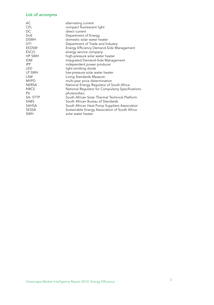## List of acronyms

| AC           | alternating current                              |
|--------------|--------------------------------------------------|
| CFL          | compact fluorescent light                        |
| DC.          | direct current                                   |
| <b>DoE</b>   | Department of Energy                             |
| <b>DSWH</b>  | domestic solar water heater                      |
| DTI          | Department of Trade and Industry                 |
| <b>EEDSM</b> | Energy Efficiency Demand-Side Management         |
| <b>ESCO</b>  | energy service company                           |
| HP SWH       | high-pressure solar water heater                 |
| <b>IDM</b>   | Integrated Demand-Side Management                |
| <b>IPP</b>   | independent power producer                       |
| LED          | light emitting diode                             |
| LP SWH       | low-pressure solar water heater                  |
| <b>LSM</b>   | Living Standards Measure                         |
| <b>MYPD</b>  | multi-year price determination                   |
| <b>NERSA</b> | National Energy Regulator of South Africa        |
| <b>NRCS</b>  | National Regulator for Compulsory Specifications |
| <b>PV</b>    | photovoltaic                                     |
| SA-STTP      | South African Solar Thermal Technical Platform   |
| SABS         | South African Bureau of Standards                |
| <b>SAHSA</b> | South African Heat Pump Suppliers Association    |
| <b>SESSA</b> | Sustainable Energy Association of South Africa   |
| <b>SWH</b>   | solar water heater                               |
|              |                                                  |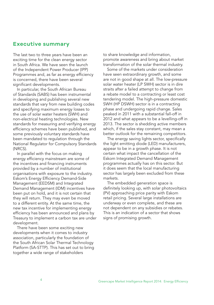## **Executive summary**

The last two to three years have been an exciting time for the clean energy sector in South Africa. We have seen the launch of the Independent Power Producer (IPP) Programmes and, as far as energy efficiency is concerned, there have been several significant developments.

In particular, the South African Bureau of Standards (SABS) has been instrumental in developing and publishing several new standards that vary from new building codes and specifying maximum energy losses to the use of solar water heaters (SWH) and non-electrical heating technologies. New standards for measuring and verifying energy efficiency schemes have been published, and some previously voluntary standards have been mandated to regulation through the National Regulator for Compulsory Standards (NRCS).

In parallel with the focus on making energy efficiency mainstream are some of the incentives and financing instruments provided by a number of institutional organisations with exposure to the industry. Eskom's Energy Efficiency Demand-Side Management (EEDSM) and Integrated Demand Management (IDM) incentives have been put on hold, and it is not certain that they will return. They may even be moved to a different entity. At the same time, the new tax incentive for implementing energy efficiency has been announced and plans by Treasury to implement a carbon tax are under development.

There have been some exciting new developments when it comes to industry association, particularly the foundation of the South African Solar Thermal Technology Platform (SA-STTP). This has set out to bring together a wide range of stakeholders

to share knowledge and information, promote awareness and bring about market transformation of the solar thermal industry.

Some of the markets under consideration have seen extraordinary growth, and some are not in good shape at all. The low-pressure solar water heater (LP SWH) sector is in dire straits after a failed attempt to change from a rebate model to a contracting or least cost tendering model. The high-pressure domestic SWH (HP DSWH) sector is in a contracting phase and undergoing rapid change. Sales peaked in 2011 with a substantial fall-off in 2012 and what appears to be a levelling-off in 2013. The sector is shedding active members which, if the sales stay constant, may mean a better outlook for the remaining competitors.

The energy saving lights sector, specifically the light emitting diode (LED) manufacturers, appear to be in a growth phase. It is not certain what impact the cancellation of the Eskom Integrated Demand Management programmes actually has on this sector. But it does seem that the local manufacturing sector has largely been excluded from these markets.

The embedded generation space is definitely looking up, with solar photovoltaics (PV) approaching price parity with Eskom retail pricing. Several large installations are underway or even complete, and these are not dependent on any subsidies or rebates. This is an indication of a sector that shows signs of promising growth.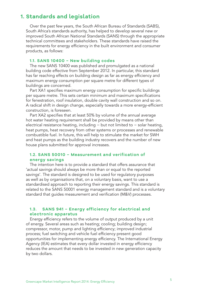# **1. Standards and legislation**

Over the past few years, the South African Bureau of Standards (SABS), South Africa's standards authority, has helped to develop several new or improved South African National Standards (SANS) through the appropriate technical committees and stakeholders. These standards have raised the requirements for energy efficiency in the built environment and consumer products, as follows:

#### **1.1. SANS 10400 − New building codes**

The new SANS 10400 was published and promulgated as a national building code effective from September 2012. In particular, this standard has far reaching effects on building design as far as energy efficiency and maximum energy consumption per square metre for different types of buildings are concerned.

Part XA1 specifies maximum energy consumption for specific buildings per square metre. This sets certain minimum and maximum specifications for fenestration, roof insulation, double cavity wall construction and so on. A radical shift in design change, especially towards a more energy-efficient construction, is foreseen.

Part XA2 specifies that at least 50% by volume of the annual average hot water heating requirement shall be provided by means other than electrical resistance heating, including − but not limited to − solar heating, heat pumps, heat recovery from other systems or processes and renewable combustible fuel. In future, this will help to stimulate the market for SWH and heat pumps as the building industry recovers and the number of new house plans submitted for approval increases.

### **1.2. SANS 50010 − Measurement and verification of energy savings**

The intention here is to provide a standard that offers assurance that 'actual savings should always be more than or equal to the reported savings'. The standard is designed to be used for regulatory purposes as well as by organisations that, on a voluntary basis, want to use a standardised approach to reporting their energy savings. This standard is related to the SANS 50001 energy management standard and is a voluntary standard that guides measurement and verification (M&V) processes.

## **1.3. SANS 941 − Energy efficiency for electrical and electronic apparatus**

Energy efficiency refers to the volume of output produced by a unit of energy. Several areas such as heating; cooling; building design; compressor, motor, pump and lighting efficiency; improved industrial process; fuel switching and vehicle fuel efficiency present good opportunities for implementing energy efficiency. The International Energy Agency (IEA) estimates that every dollar invested in energy efficiency reduces the amount that needs to be invested in new generation capacity by two dollars.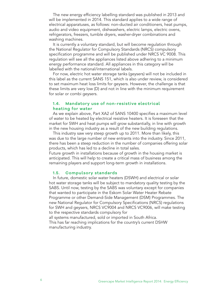The new energy efficiency labelling standard was published in 2013 and will be implemented in 2014. This standard applies to a wide range of electrical apparatuses, as follows: non-ducted air conditioners, heat pumps, audio and video equipment, dishwashers, electric lamps, electric ovens, refrigerators, freezers, tumble dryers, washer-dryer combinations and washing machines.

It is currently a voluntary standard, but will become regulation through the National Regulator for Compulsory Standards (NRCS) compulsory specification programme and will be published under NRCS VC 9008. This regulation will see all the appliances listed above adhering to a minimum energy performance standard. All appliances in this category will be labelled with the national/international labels.

For now, electric hot water storage tanks (geysers) will not be included in this label as the current SANS 151, which is also under review, is considered to set maximum heat loss limits for geysers. However, the challenge is that these limits are very low (D) and not in line with the minimum requirement for solar or combi geysers.

## **1.4. Mandatory use of non-resistive electrical heating for water**

As we explain above, Part XA2 of SANS 10400 specifies a maximum level of water to be heated by electrical resistive heaters. It is foreseen that the market for SWH and heat pumps will grow substantially, in line with growth in the new housing industry as a result of the new building regulations.

This industry saw very steep growth up to 2011. More than likely, this was due to the large number of new entrants into the industry. Since 2011, there has been a steep reduction in the number of companies offering solar products, which has led to a decline in total sales.

Future growth in installations because of growth in the housing market is anticipated. This will help to create a critical mass of business among the remaining players and support long-term growth in installations.

## **1.5. Compulsory standards**

In future, domestic solar water heaters (DSWH) and electrical or solar hot water storage tanks will be subject to mandatory quality testing by the SABS. Until now, testing by the SABS was voluntary except for companies that wanted to participate in the Eskom Solar Water Heater Rebate Programme or other Demand-Side Management (DSM) Programmes. The new National Regulator for Compulsory Specifications (NRCS) regulations for SWH and geysers, NRCS VC9004 and NRCS VC9006, will make testing to the respective standards compulsory for

all systems manufactured, sold or imported in South Africa. This has far reaching implications for the country's current DSHW manufacturing industry.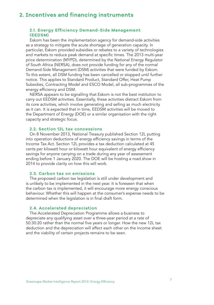# **2. Incentives and financing instruments**

## **2.1. Energy Efficiency Demand-Side Management (EEDSM**)

Eskom has been the implementation agency for demand-side activities as a strategy to mitigate the acute shortage of generation capacity. In particular, Eskom provided subsidies or rebates to a variety of technologies and markets to reduce peak demand at specific times. The 2013 multi-year price determination (MYPD), determined by the National Energy Regulator of South Africa (NERSA), does not provide funding for any of the normal Demand-Side Management (DSM) activities that were funded by Eskom. To this extent, all DSM funding has been cancelled or stopped until further notice. This applies to Standard Product, Standard Offer, Heat Pump Subsidies, Contracting Model and ESCO Model, all sub-programmes of the energy efficiency and DSM.

NERSA appears to be signalling that Eskom is not the best institution to carry out EEDSM activities. Essentially, these activities distract Eskom from its core activities, which involve generating and selling as much electricity as it can. It is expected that in time, EEDSM activities will be moved to the Department of Energy (DOE) or a similar organisation with the right capacity and strategic focus.

#### **2.2. Section 12L tax concessions**

On 8 November 2013, National Treasury published Section 12L putting into operation deductions of energy efficiency savings in terms of the Income Tax Act. Section 12L provides a tax deduction calculated at 45 cents per kilowatt hour or kilowatt hour equivalent of energy efficiency savings for anyone carrying on a trade during any year of assessment ending before 1 January 2020. The DOE will be hosting a road show in 2014 to provide clarity on how this will work.

#### **2.3. Carbon tax on emissions**

The proposed carbon tax legislation is still under development and is unlikely to be implemented in the next year. It is foreseen that when the carbon tax is implemented, it will encourage more energy conscious behaviour. Whether this will happen at the consumer's expense needs to be determined when the legislation is in final draft form.

#### **2.4. Accelerated depreciation**

The Accelerated Depreciation Programme allows a business to depreciate any qualifying asset over a three-year period at a rate of 50:30:20 rather than the normal five years or longer. How the new 12L tax deduction and the depreciation will affect each other on the income sheet and the viability of certain projects remains to be seen.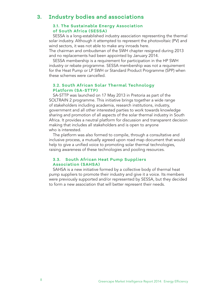# **3. Industry bodies and associations**

#### **3.1. The Sustainable Energy Association of South Africa (SESSA)**

SESSA is a long-established industry association representing the thermal solar industry. Although it attempted to represent the photovoltaic (PV) and wind sectors, it was not able to make any inroads here.

The chairman and ombudsman of the SWH chapter resigned during 2013 and no replacements had been appointed by January 2014.

SESSA membership is a requirement for participation in the HP SWH industry or rebate programme. SESSA membership was not a requirement for the Heat Pump or LP SWH or Standard Product Programme (SPP) when these schemes were cancelled.

## **3.2. South African Solar Thermal Technology Platform (SA-STTP)**

SA-STTP was launched on 17 May 2013 in Pretoria as part of the SOLTRAIN 2 programme. This initiative brings together a wide range of stakeholders including academia, research institutions, industry, government and all other interested parties to work towards knowledge sharing and promotion of all aspects of the solar thermal industry in South Africa. It provides a neutral platform for discussion and transparent decision making that includes all stakeholders and is open to anyone who is interested.

The platform was also formed to compile, through a consultative and inclusive process, a mutually agreed upon road map document that would help to give a unified voice to promoting solar thermal technologies, raising awareness of these technologies and pooling resources.

### **3.3. South African Heat Pump Suppliers Association (SAHSA)**

SAHSA is a new initiative formed by a collective body of thermal heat pump suppliers to promote their industry and give it a voice. Its members were previously supported and/or represented by SESSA, but they decided to form a new association that will better represent their needs.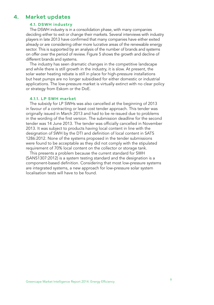## **4. Market updates**

## **4.1. DSWH industry**

The DSWH industry is in a consolidation phase, with many companies deciding either to exit or change their markets. Several interviews with industry players in late 2013 have confirmed that many companies have either exited already or are considering other more lucrative areas of the renewable energy sector. This is supported by an analysis of the number of brands and systems on offer over the period of review. Figure 5 shows the growth and decline of different brands and systems.

The industry has seen dramatic changes in the competitive landscape and while there is still growth in the industry, it is slow. At present, the solar water heating rebate is still in place for high-pressure installations but heat pumps are no longer subsidised for either domestic or industrial applications. The low-pressure market is virtually extinct with no clear policy or strategy from Eskom or the DoE.

#### **4.1.1. LP SWH market**

The subsidy for LP SWHs was also cancelled at the beginning of 2013 in favour of a contracting or least cost tender approach. This tender was originally issued in March 2013 and had to be re-issued due to problems in the wording of the first version. The submission deadline for the second tender was 14 June 2013. The tender was officially cancelled in November 2013. It was subject to products having local content in line with the designation of SWH by the DTI and definition of local content in SATS 1286:2012. None of the systems proposed in the tender submissions were found to be acceptable as they did not comply with the stipulated requirement of 70% local content on the collector or storage tank.

This presents a problem because the current standard for SWH (SANS1307:2012) is a system testing standard and the designation is a component-based definition. Considering that most low-pressure systems are integrated systems, a new approach for low-pressure solar system localisation tests will have to be found.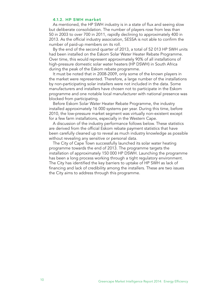#### **4.1.2. HP SWH market**

As mentioned, the HP SWH industry is in a state of flux and seeing slow but deliberate consolidation. The number of players rose from less than 50 in 2003 to over 700 in 2011, rapidly declining to approximately 400 in 2013. As the official industry association, SESSA is not able to confirm the number of paid-up members on its roll.

By the end of the second quarter of 2013, a total of 52 013 HP SWH units had been installed on the Eskom Solar Water Heater Rebate Programme. Over time, this would represent approximately 90% of all installations of high-pressure domestic solar water heaters (HP DSWH) in South Africa during the peak of the Eskom rebate programme.

It must be noted that in 2008-2009, only some of the known players in the market were represented. Therefore, a large number of the installations by non-participating solar installers were not included in the data. Some manufacturers and installers have chosen not to participate in the Eskom programme and one notable local manufacturer with national presence was blocked from participating.

Before Eskom Solar Water Heater Rebate Programme, the industry installed approximately 16 000 systems per year. During this time, before 2010, the low-pressure market segment was virtually non-existent except for a few farm installations, especially in the Western Cape.

A discussion of the industry performance follows below. These statistics are derived from the official Eskom rebate payment statistics that have been carefully cleaned up to reveal as much industry knowledge as possible without revealing any sensitive or personal data.

The City of Cape Town successfully launched its solar water heating programme towards the end of 2013. The programme targets the installation of approximately 150 000 HP DSWH. Launching the programme has been a long process working through a tight regulatory environment. The City has identified the key barriers to uptake of HP SWH as lack of financing and lack of credibility among the installers. These are two issues the City aims to address through this programme.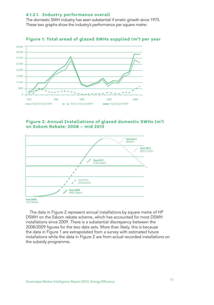#### **4.1.2.1. Industry performance overall**

The domestic SWH industry has seen substantial if erratic growth since 1975. These two graphs show the industry's performance per square metre:



## Figure 1: Total aread of glazed SWHs supplied (m<sup>2</sup>) per year

## **Figure 2: Annual Installations of glazed domestic SWHs (m2) on Eskom Rebate: 2008 – mid 2013**



1337,466667

The data in Figure 2 represent annual installations by square metre of HP DSWH on the Eskom rebate scheme, which has accounted for most DSWH installations since 2009. There is a substantial discrepancy between the 2008/2009 figures for the two data sets. More than likely, this is because the data in Figure 1 are extrapolated from a survey with estimated future installations while the data in Figure 2 are from actual recorded installations on the subsidy programme.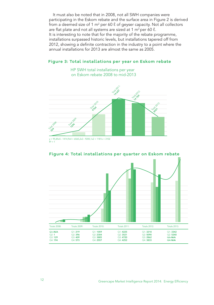It must also be noted that in 2008, not all SWH companies were participating in the Eskom rebate and the surface area in Figure 2 is derived from a deemed size of 1 m² per 60  $\ell$  of geyser capacity. Not all collectors are flat plate and not all systems are sized at 1  $m^2$  per 60  $\ell$ . It is interesting to note that for the majority of the rebate programme, installations surpassed historic levels, but installations tapered off from 2012, showing a definite contraction in the industry to a point where the annual installations for 2013 are almost the same as 2005.

## **Figure 3: Total installations per year on Eskom rebate**

HP SWH total installations per year





#### **Figure 4: Total installations per quarter on Eskom rebate**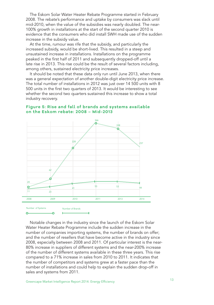The Eskom Solar Water Heater Rebate Programme started in February 2008. The rebate's performance and uptake by consumers was slack until mid-2010, when the value of the subsidies was nearly doubled. The near-100% growth in installations at the start of the second quarter 2010 is evidence that the consumers who did install SWH made use of the sudden increase in the subsidy value.

At the time, rumour was rife that the subsidy, and particularly the increased subsidy, would be short-lived. This resulted in a steep and unsustained increase in installations. Installations on the programme peaked in the first half of 2011 and subsequently dropped-off until a late rise in 2013. This rise could be the result of several factors including, among others, sustained electricity price increases.

It should be noted that these data only run until June 2013, when there was a general expectation of another double-digit electricity price increase. The total number of installations in 2012 was just over 14 500 units with 8 500 units in the first two quarters of 2013. It would be interesting to see whether the second two quarters sustained this increase to show a total industry recovery.

## **Figure 5: Rise and fall of brands and systems available on the Eskom rebate: 2008 – Mid-2013**



Notable changes in the industry since the launch of the Eskom Solar Water Heater Rebate Programme include the sudden increase in the number of companies importing systems, the number of brands on offer; and the number of resellers that have become active in the industry since 2008, especially between 2008 and 2011. Of particular interest is the near-80% increase in suppliers of different systems and the near-200% increase of the number of different systems available in these three years. This rise compared to a 71% increase in sales from 2010 to 2011. It indicates that the number of competitors and systems grew at a faster pace than the number of installations and could help to explain the sudden drop-off in sales and systems from 2011.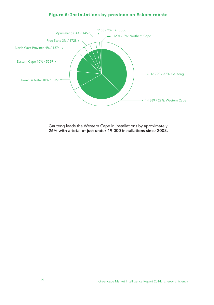## **Figure 6: Installations by province on Eskom rebate**



Gauteng leads the Western Cape in installations by aproximately 26% with a total of just under 19 000 installations since 2008.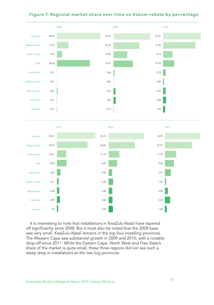

## **Figure 7: Regional market share over time on Eskom rebate by percentage**

It is interesting to note that installations in KwaZulu-Natal have tapered off significantly since 2008. But it must also be noted that the 2008 base was very small. KwaZulu-Natal remains in the top four installing provinces. The Western Cape saw substantial growth in 2009 and 2010, with a notable drop-off since 2011. While the Eastern Cape, North West and Free State's share of the market is quite small, these three regions did not see such a steep drop in installations as the two big provinces.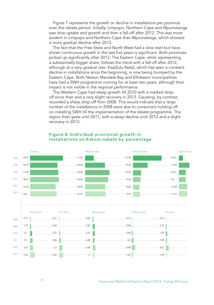Figure 7 represents the growth or decline in installations per province over the rebate period. Initially, Limpopo, Northern Cape and Mpumalanga saw slow uptake and growth and then a fall-off after 2012. This was more evident in Limpopo and Northern Cape than Mpumalanga, which showed a more gradual decline after 2012.

The fact that the Free State and North West had a slow start but have shown continuous growth in the last five years is significant. Both provinces picked up significantly after 2012. The Eastern Cape, while representing a substantially bigger share, follows the trend with a fall-off after 2012, although at a very gradual rate. KwaZulu-Natal, which has seen a constant decline in installations since the beginning, is now being trumped by the Eastern Cape. Both Nelson Mandela Bay and Ethikweni municipalities have had a SWH programme running for at least two years, although their impact is not visible in the regional performance.

The Western Cape had steep growth till 2010 with a marked dropoff since then and a very slight recovery in 2013. Gauteng, by contrast, recorded a sharp drop-off from 2008. This would indicate that a large number of the installations in 2008 were due to consumers holding off on installing SWH till the implementation of the rebate programme. The region then grew until 2011, with a steep decline until 2012 and a slight recovery in 2013.



### **Figure 8: Individual provincial growth in installations on Eskom rebate by percentage**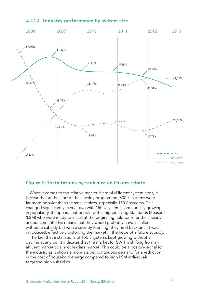

#### **4.1.2.3. Industry performance by system size**

## **Figure 9: Installations by tank size on Eskom rebate**

When it comes to the relative market share of different system sizes, it is clear that at the start of the subsidy programme,  $300 \ell$  systems were far more popular than the smaller sizes, especially 150  $\ell$  systems. This changed significantly in year two with 150 ℓ systems continuously growing in popularity. It appears that people with a higher Living Standards Measure (LSM) who were ready to install at the beginning held back for the subsidy announcement. This means that they would probably have installed without a subsidy but with a subsidy looming, they held back until it was introduced, effectively distorting the market in the hope of a future subsidy.

The fact that installations of 150  $\ell$  systems kept growing without a decline at any point indicates that the market for SWH is shifting from an affluent market to a middle-class market. This could be a positive signal for the industry as it shows a more stable, continuous demand for a reduction in the cost of household energy compared to high LSM individuals targeting high subsidies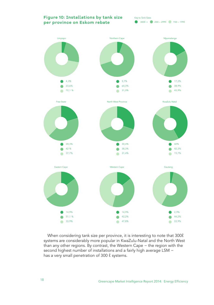### **Figure 10: Installations by tank size per province on Eskom rebate**

Key to Tank Sizes  $300\ell + 200 - 299\ell$  150 – 199 $\ell$ 



When considering tank size per province, it is interesting to note that 300ℓ systems are considerably more popular in KwaZulu-Natal and the North West than any other regions. By contrast, the Western Cape − the region with the second highest number of installations and a fairly high average LSM − has a very small penetration of 300  $\ell$  systems.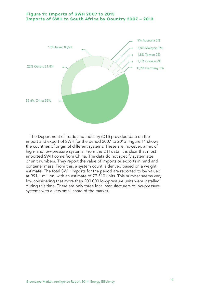## **Figure 11: Imports of SWH 2007 to 2013 Imports of SWH to South Africa by Country 2007 – 2013**



The Department of Trade and Industry (DTI) provided data on the import and export of SWH for the period 2007 to 2013. Figure 11 shows the countries of origin of different systems. These are, however, a mix of high- and low-pressure systems. From the DTI data, it is clear that most imported SWH come from China. The data do not specify system size or unit numbers. They report the value of imports or exports in rand and container mass. From this, a system count is derived based on a weight estimate. The total SWH imports for the period are reported to be valued at R91,1 million, with an estimate of 77 510 units. This number seems very low considering that more than 200 000 low-pressure units were installed during this time. There are only three local manufacturers of low-pressure systems with a very small share of the market.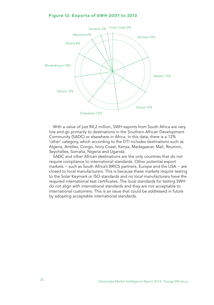

With a value of just R4,2 million, SWH exports from South Africa are very low and go primarily to destinations in the Southern African Development Community (SADC) or elsewhere in Africa. In this data, there is a 12% 'other' category, which according to the DTI includes destinations such as Algeria, Antilles, Congo, Ivory Coast, Kenya, Madagascar, Mali, Reunion, Seychelles, Somalia, Nigeria and Uganda.

SADC and other African destinations are the only countries that do not require compliance to international standards. Other potential export markets − such as South Africa's BRICS partners, Europe and the USA – are closed to local manufacturers. This is because these markets require testing to the Solar Keymark or ISO standards and no local manufacturers have the required international test certificates. The local standards for testing SWH do not align with international standards and they are not acceptable to international customers. This is an issue that could be addressed in future by adopting acceptable international standards.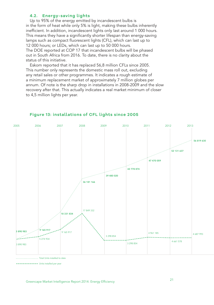### **4.2. Energy-saving lights**

Up to 95% of the energy emitted by incandescent bulbs is in the form of heat while only 5% is light, making these bulbs inherently inefficient. In addition, incandescent lights only last around 1 000 hours. This means they have a significantly shorter lifespan than energy-saving lamps such as compact fluorescent lights (CFL), which can last up to 12 000 hours; or LEDs, which can last up to 50 000 hours. The DOE reported at COP 17 that incandescent bulbs will be phased out in South Africa from 2016. To date, there is no clarity about the status of this initiative.

Eskom reported that it has replaced 56,8 million CFLs since 2005. This number only represents the domestic mass roll out, excluding any retail sales or other programmes. It indicates a rough estimate of a minimum replacement market of approximately 7 million globes per annum. Of note is the sharp drop in installations in 2008-2009 and the slow recovery after that. This actually indicates a real market minimum of closer to 4,5 million lights per year.



### **Figure 13: installations of CFL lights since 2005**

.............. Total Units installed to date

<sup>-------</sup> Units installed per year